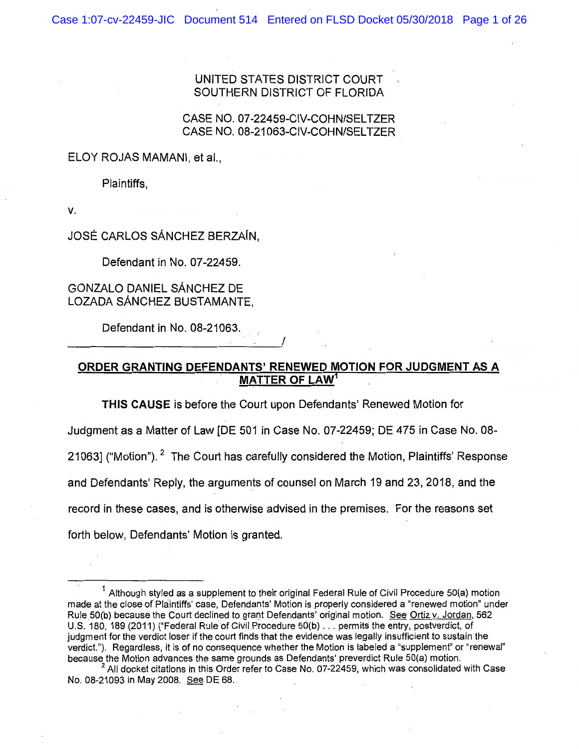UNITED STATES DISTRICT COURT SOUTHERN DISTRICT OF FLORIDA

#### CASE NO. 07-22459-CIV-COHN/SELTZER CASE NO. 08-21063-CIV-COHN/SELTZER

ELOY ROJAS MAMANI, et al.,

Plaintiffs,

v.

JOSE CARLOS SANCHEZ BERZAfN,

Defendant in No. 07-22459.

# GONZALO DANIEL SANCHEZ DE LOZADA SANCHEZ BUSTAMANTE,

Defendant in No. 08-21063.

------------------~------------'

### **ORDER GRANTING DEFENDANTS' RENEWED MOTION FOR JUDGMENT AS A MATTER OF LAW<sup>1</sup>**

**THIS CAUSE** is before the Court upon Defendants' Renewed Motion for

Judgment as a Matter of Law [DE 501 in Case No. 07-22459; DE 475 in Case No. 08-

210631 ("Motion"). <sup>2</sup> The Court has carefully considered the Motion, Plaintiffs' Response

and Defendants' Reply, the arguments of counsel on March 19 and 23, 2018, and the

record in these cases, and is otherwise advised in the premises. For the reasons set

forth below, Defendants' Motion is granted.

 $1$  Although styled as a supplement to their original Federal Rule of Civil Procedure 50(a) motion made at the close of Plaintiffs' case, Defendants' Motion is properly considered a "renewed motion" under Rule 50(b) because the Court declined to grant Defendants' original motion. See Ortiz v. Jordan, 562 U.S. 180, 189 (2011) ("Federal Rule of Civil Procedure 50(b) . . . permits the entry, postverdict, of judgment for the verdict loser if the court finds that the evidence was legally insufficient to sustain the verdict."). Regardless, it is of no consequence whether the Motion is labeled a "supplement" or "renewal" because the Motion advances the same grounds as Defendants' preverdict Rule 50(a) motion.

 $2$  All docket citations in this Order refer to Case No. 07-22459, which was consolidated with Case No. 08-21093 in May 2008 .. See DE 68.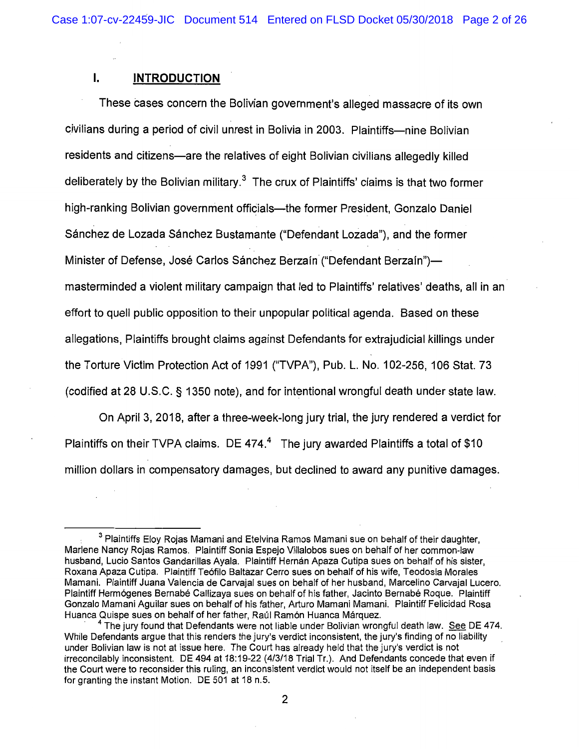# I. **INTRODUCTION**

These cases concern the Bolivian government's alleged massacre of its own civilians during a period of civil unrest in Bolivia in 2003. Plaintiffs-nine Bolivian residents and citizens—are the relatives of eight Bolivian civilians allegedly killed deliberately by the Bolivian military.<sup>3</sup> The crux of Plaintiffs' claims is that two former high-ranking Bolivian government officials—the former President, Gonzalo Daniel Sanchez de Lozada Sanchez Bustamante ("Defendant Lozada"), and the former Minister of Defense, José Carlos Sánchez Berzaín ("Defendant Berzaín")masterminded a violent military campaign that led to Plaintiffs' relatives' deaths, all in an effort to quell public opposition to their unpopular political agenda. Based on these allegations, Plaintiffs brought claims against Defendants for extrajudicial killings under the Torture Victim Protection Act of 1991 ("TVPA"), Pub. L. No. 102-256, 106 Stat. 73 (codified at 28 U.S.C. § 1350 note), and for intentional wrongful death under state law.

On April 3, 2018, after a three-week-long jury trial, the jury rendered a verdict for Plaintiffs on their TVPA claims. DE 474. $4$  The jury awarded Plaintiffs a total of \$10 million dollars in compensatory damages, but declined to award any punitive damages.

<sup>&</sup>lt;sup>3</sup> Plaintiffs Eloy Rojas Mamani and Etelvina Ramos Mamani sue on behalf of their daughter, Marlene Nancy Rojas Ramos. Plaintiff Sonia Espejo Villalobos sues on behalf of her common-law husband, Lucio Santos Gandarillas Ayala. Plaintiff Hernan Apaza Cutipa sues on behalf of his sister, Roxana Apaza Cutipa. Plaintiff Te6filo Baltazar Cerro sues on behalf of his wife, Teodosia Morales Mamani. Plaintiff Juana Valencia de Carvajal sues on behalf of her husband, Marcelino Carvajal Lucero. Plaintiff Hermógenes Bernabé Callizaya sues on behalf of his father, Jacinto Bernabé Roque. Plaintiff Gonzalo Mamani Aguilar sues on behalf of his father, Arturo Mamani Mamani. Plaintiff Felicidad Rosa Huanca Quispe sues on behalf of her father, Raúl Ramón Huanca Márquez.

 $^4$  The jury found that Defendants were not liable under Bolivian wrongful death law. See DE 474. While Defendants argue that this renders the jury's verdict inconsistent, the jury's finding of no liability under Bolivian law is not at issue here. The Court has already held that the jury's verdict is not irreconcilably inconsistent. DE 494 at 18:19-22 (4/3/18 Trial Tr.). And Defendants concede that even if the Court were to reconsider this ruling, an inconsistent verdict would not itself be an independent basis for granting the instant Motion. DE 501 at 18 n.5.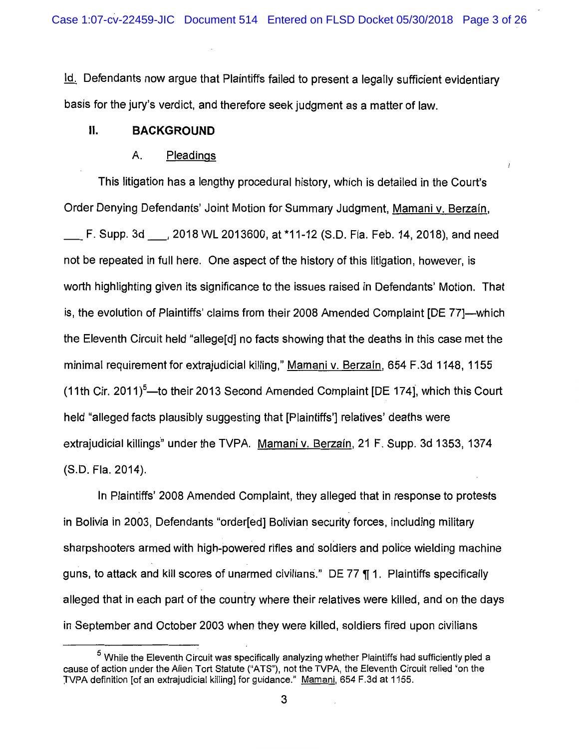Id. Defendants now argue that Plaintiffs failed to present a legally sufficient evidentiary basis for the jury's verdict, and therefore seek judgment as a matter of law.

### II. **BACKGROUND**

#### A. Pleadings

This litigation has a lengthy procedural history, which is detailed in the Court's Order Denying Defendants' Joint Motion for Summary Judgment, Mamani v. Berzafn, \_F. Supp. 3d\_, 2018 WL 2013600, at \*11-12 (S.D. Fla. Feb. 14, 2018), and need not be repeated in full here. One aspect of the history of this litigation, however, is worth highlighting given its significance to the issues raised in Defendants' Motion. That is, the evolution of Plaintiffs' claims from their 2008 Amended Complaint [DE 77]—which the Eleventh Circuit held "allege[d] no facts showing that the deaths in this case met the minimal requirement for extrajudicial killing," Mamani v. Berzain, 654 F.3d 1148, 1155 (11th Cir. 2011) $^5$ —to their 2013 Second Amended Complaint [DE 174], which this Court held "alleged facts plausibly suggesting that [Plaintiffs'] relatives' deaths were extrajudicial killings" under the TVPA. Mamani v. Berzain, 21 F. Supp. 3d 1353, 1374 (S.D. Fla. 2014).

In Plaintiffs' 2008 Amended Complaint, they alleged that in response to protests in Bolivia in 2003, Defendants "order[ed] Bolivian security forces, including military sharpshooters armed with high-powered rifles and soldiers and police wielding machine guns, to attack and kill scores of unarmed civilians." DE 77  $\P$  1. Plaintiffs specifically alleged that in each part of the country where their relatives were killed, and on the days in September and October 2003 when they were killed, soldiers fired upon civilians

 $5$  While the Eleventh Circuit was specifically analyzing whether Plaintiffs had sufficiently pled a cause of action under the Alien Tort Statute ("ATS"), not the TVPA, the Eleventh Circuit relied "on the JVPA definition [of an extrajudicial killing] for guidance." Mamani, 654 F.3d at 1155.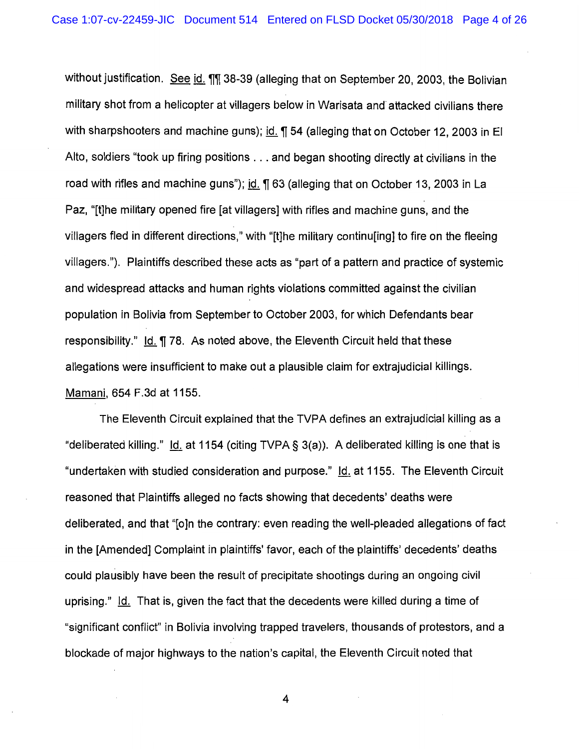without justification. See id.  $\eta$ , 38-39 (alleging that on September 20, 2003, the Bolivian military shot from a helicopter at villagers below in Warisata and attacked civilians there with sharpshooters and machine guns); id.  $\P$  54 (alleging that on October 12, 2003 in El Alto, soldiers "took up firing positions ... and began shooting directly at civilians in the road with rifles and machine guns"); id.  $\P$  63 (alleging that on October 13, 2003 in La Paz, "[t]he military opened fire [at villagers] with rifles and machine guns, and the villagers fled in different directions," with "[t]he military continu[ing] to fire on the fleeing villagers."). Plaintiffs described these acts as "part of a pattern and practice of systemic and widespread attacks and human rights violations committed against the civilian population in Bolivia from September to October 2003, for which Defendants bear responsibility." Id.  $\P$  78. As noted above, the Eleventh Circuit held that these allegations were insufficient to make out a plausible claim for extrajudicial killings. Mamani, 654 F.3d at 1155.

The Eleventh Circuit explained that the TVPA defines an extrajudicial killing as a "deliberated killing."  $\text{Id}$  at 1154 (citing TVPA § 3(a)). A deliberated killing is one that is "undertaken with studied consideration and purpose." Id. at 1155. The Eleventh Circuit reasoned that Plaintiffs alleged no facts showing that decedents' deaths were deliberated, and that "[o]n the contrary: even reading the well-pleaded allegations of fact in the [Amended] Complaint in plaintiffs' favor, each of the plaintiffs' decedents' deaths could plausibly have been the result of precipitate shootings during an ongoing civil uprising." Id. That is, given the fact that the decedents were killed during a time of "significant conflict" in Bolivia involving trapped travelers, thousands of protestors, and a blockade of major highways to the nation's capital, the Eleventh Circuit noted that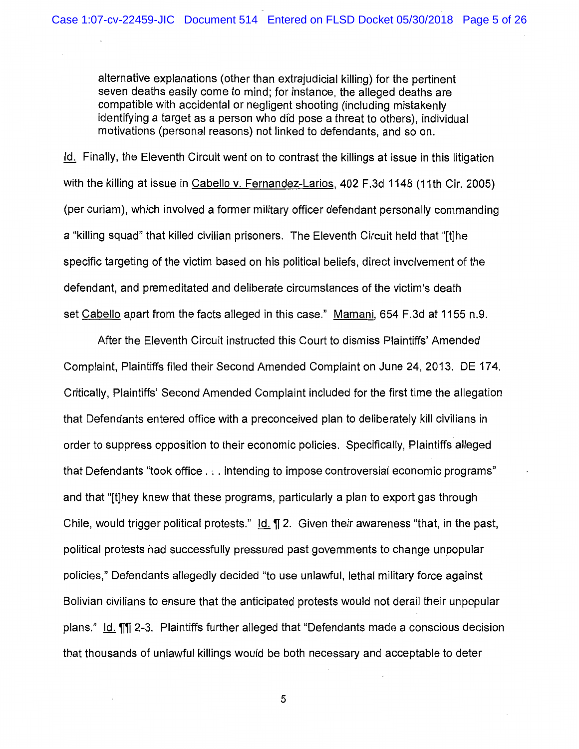alternative explanations (other than extrajudicial killing) for the pertinent seven deaths easily come to mind; for instance, the alleged deaths are compatible with accidental or negligent shooting (including mistakenly identifying a target as a person who did pose a threat to others), individual motivations (personal reasons) not linked to defendants, and so on.

Id. Finally, the Eleventh Circuit went on to contrast the killings at issue in this litigation with the killing at issue in Cabello v. Fernandez-Larios, 402 F.3d 1148 (11th Cir. 2005) (per curiam), which involved a former military officer defendant personally commanding a "killing squad" that killed civilian prisoners. The Eleventh Circuit held that "[t]he specific targeting of the victim based on his political beliefs, direct involvement of the defendant, and premeditated and deliberate circumstances of the victim's death set Cabello apart from the facts alleged in this case." Mamani, 654 F.3d at 1155 n.9.

After the Eleventh Circuit instructed this Court to dismiss Plaintiffs' Amended Complaint, Plaintiffs filed their Second Amended Complaint on June 24, 2013. DE 174. Critically, Plaintiffs' Second Amended Complaint included for the first time the allegation that Defendants entered office with a preconceived plan to deliberately kill civilians in order to suppress opposition to their economic policies. Specifically, Plaintiffs alleged that Defendants "took office . · .. intending to impose controversial economic programs" and that "[t]hey knew that these programs, particularly a plan to export gas through Chile, would trigger political protests."  $\underline{Id}$ .  $\P$  2. Given their awareness "that, in the past, political protests had successfully pressured past governments to change unpopular policies," Defendants allegedly decided "to use unlawful, lethal military force against Bolivian civilians to ensure that the anticipated protests would not derail their unpopular plans." Id. TI 2-3. Plaintiffs further alleged that "Defendants made a conscious decision that thousands of unlawful killings would be both necessary and acceptable to deter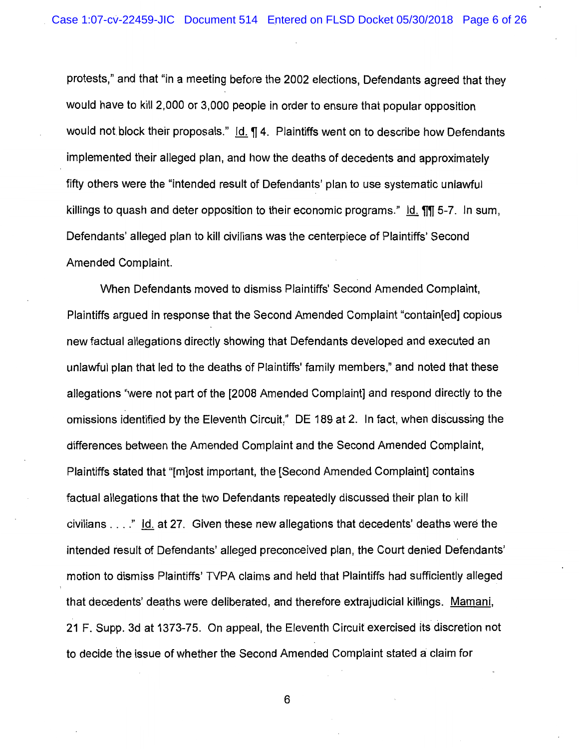protests," and that "in a meeting before the 2002 elections, Defendants agreed that they would have to kill 2,000 or 3,000 people in order to ensure that popular opposition would not block their proposals."  $\text{Id.}$   $\P$  4. Plaintiffs went on to describe how Defendants implemented their alleged plan, and how the deaths of decedents and approximately fifty others were the "intended result of Defendants' plan to use systematic unlawful killings to quash and deter opposition to their economic programs."  $\,$  Id.  $\P$  $\P$  5-7. In sum, Defendants' alleged plan to kill civilians was the centerpiece of Plaintiffs' Second Amended Complaint.

When Defendants moved to dismiss Plaintiffs' Second Amended Complaint, Plaintiffs argued in response that the Second Amended Complaint "contain[ed] copious new factual allegations directly showing that Defendants developed and executed an unlawful plan that led to the deaths of Plaintiffs' family members," and noted that these allegations "were not part of the [2008 Amended Complaint] and respond directly to the omissions identified by the Eleventh Circuit," DE 189 at 2. In fact, when discussing the differences between the Amended Complaint and the Second Amended Complaint, Plaintiffs stated that "[m]ost important, the [Second Amended Complaint] contains factual allegations that the two Defendants repeatedly discussed their plan to kill civilians  $\dots$ ." Id. at 27. Given these new allegations that decedents' deaths were the intended result of Defendants' alleged preconceived plan, the Court denied Defendants' motion to dismiss Plaintiffs' TVPA claims and held that Plaintiffs had sufficiently alleged that decedents' deaths were deliberated, and therefore extrajudicial killings. Mamani, 21 F. Supp. 3d at 1373-75. On appeal, the Eleventh Circuit exercised its discretion not to decide the issue of whether the Second Amended Complaint stated a claim for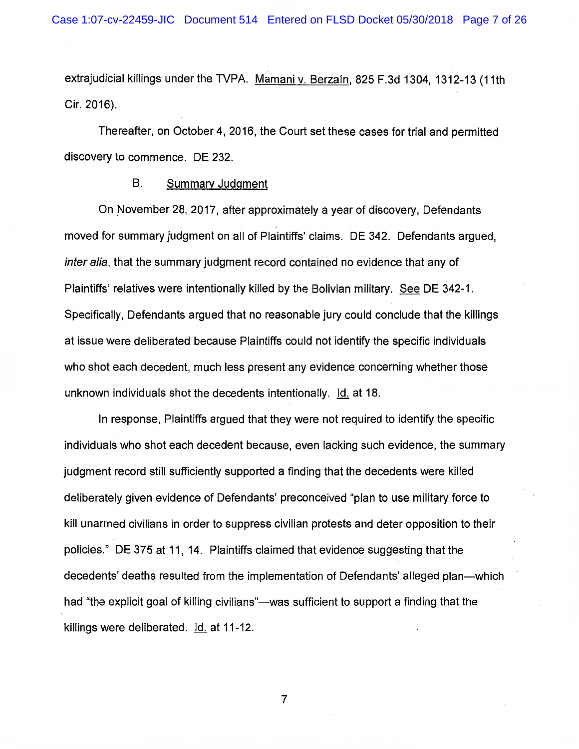extrajudicial killings under the TVPA. Mamani v. Berzafn, 825 F.3d 1304, 1312-13 (11th Cir. 2016).

Thereafter, on October 4, 2016, the Court set these cases for trial and permitted discovery to commence. DE 232.

#### B. Summary Judgment

On November 28, 2017, after approximately a year of discovery, Defendants moved for summary judgment on all of Plaintiffs' claims. DE 342. Defendants argued, inter alia, that the summary judgment record contained no evidence that any of Plaintiffs' relatives were intentionally killed by the Bolivian military. See DE 342-1. Specifically, Defendants argued that no reasonable jury could conclude that the killings at issue were deliberated because Plaintiffs could not identify the specific individuals who shot each decedent, much less present any evidence concerning whether those unknown individuals shot the decedents intentionally.  $Id.$  at 18.

In response, Plaintiffs argued that they were not required to identify the specific individuals who shot each decedent because, even lacking such evidence, the summary judgment record still sufficiently supported a finding that the decedents were killed deliberately given evidence of Defendants' preconceived "plan to use military force to kill unarmed civilians in order to suppress civilian protests and deter opposition to their policies." DE 375 at 11, 14. Plaintiffs claimed that evidence suggesting that the decedents' deaths resulted from the implementation of Defendants' alleged plan—which had "the explicit goal of killing civilians"—was sufficient to support a finding that the killings were deliberated. Id. at 11-12.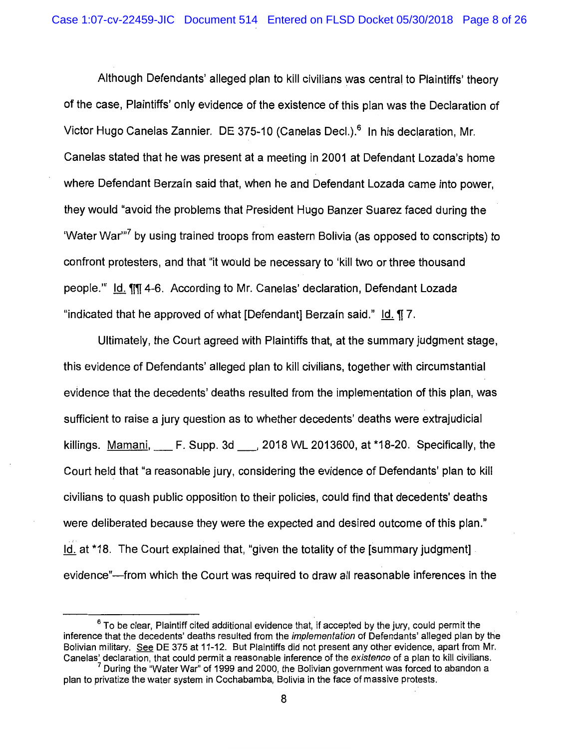Although Defendants' alleged plan to kill civilians was central to Plaintiffs' theory of the case, Plaintiffs' only evidence of the existence of this plan was the Declaration of Victor Hugo Canelas Zannier. DE 375-10 (Canelas Decl.).<sup>6</sup> In his declaration, Mr. Canelas stated that he was present at a meeting in 2001 at Defendant Lozada's home where Defendant Berzain said that, when he and Defendant Lozada came into power, they would "avoid the problems that President Hugo Banzer Suarez faced during the 'Water War"<sup>7</sup> by using trained troops from eastern Bolivia (as opposed to conscripts) to confront protesters, and that "it would be necessary to 'kill two or three thousand people." Id. 11114-6. According to Mr. Canelas' declaration, Defendant Lozada "indicated that he approved of what [Defendant] Berzain said."  $\overline{1}$  Id.  $\overline{11}$ , 7.

Ultimately, the Court agreed with Plaintiffs that, at the summary judgment stage, this evidence of Defendants' alleged plan to kill civilians, together with circumstantial evidence that the decedents' deaths resulted from the implementation of this plan, was sufficient to raise a jury question as to whether decedents' deaths were extrajudicial killings. Mamani, F. Supp. 3d<sub>c</sub>, 2018 WL 2013600, at \*18-20. Specifically, the Court held that "a reasonable jury, considering the evidence of Defendants' plan to kill civilians to quash public opposition to their policies, could find that decedents' deaths were deliberated because they were the expected and desired outcome of this plan." Id. at \*18. The Court explained that, "given the totality of the [summary judgment] evidence"—from which the Court was required to draw all reasonable inferences in the

 $6$  To be clear, Plaintiff cited additional evidence that, if accepted by the jury, could permit the inference that the decedents' deaths resulted from the implementation of Defendants' alleged plan by the Bolivian military. See DE 375 at 11-12. But Plaintiffs did not present any other evidence, apart from Mr.<br>Canelas' declaration, that could permit a reasonable inference of the existence of a plan to kill civilians.

 $<sup>7</sup>$  During the "Water War" of 1999 and 2000, the Bolivian government was forced to abandon a</sup> plan to privatize the water system in Cochabamba, Bolivia in the face of massive protests.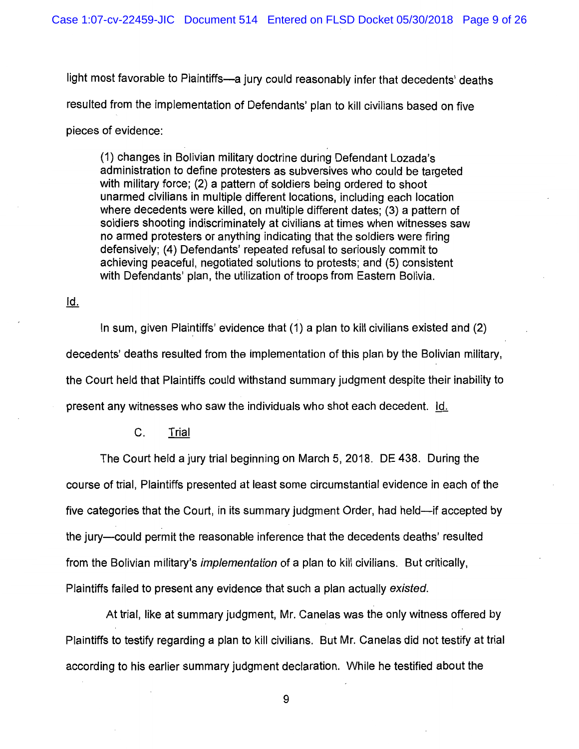light most favorable to Plaintiffs-a jury could reasonably infer that decedents' deaths resulted from the implementation of Defendants' plan to kill civilians based on five pieces of evidence:

(1) changes in Bolivian military doctrine during Defendant Lozada's administration to define protesters as subversives who could be targeted with military force; (2) a pattern of soldiers being ordered to shoot unarmed civilians in multiple different locations, including each location where decedents were killed, on multiple different dates; (3) a pattern of soldiers shooting indiscriminately at civilians at times when witnesses saw no armed protesters or anything indicating that the soldiers were firing defensively; (4) Defendants' repeated refusal to seriously commit to achieving peaceful, negotiated solutions to protests; and (5) consistent with Defendants' plan, the utilization of troops from Eastern Bolivia.

<u>ld.</u>

In sum, given Plaintiffs' evidence that (1) a plan to kill civilians existed and (2) decedents' deaths resulted from the implementation of this plan by the Bolivian military, the Court held that Plaintiffs could withstand summary judgment despite their inability to present any witnesses who saw the individuals who shot each decedent. Id.

C. Trial

The Court held a jury trial beginning on March 5, 2018. DE 438. During the course of trial, Plaintiffs presented at least some circumstantial evidence in each of the five categories that the Court, in its summary judgment Order, had held—if accepted by the jury--could permit the reasonable inference that the decedents deaths' resulted from the Bolivian military's *implementation* of a plan to kill civilians. But critically, Plaintiffs failed to present any evidence that such a plan actually existed.

At trial, like at summary judgment, Mr. Canelas was the only witness offered by Plaintiffs to testify regarding a plan to kill civilians. But Mr. Canelas did not testify at trial according to his earlier summary judgment declaration. While he testified about the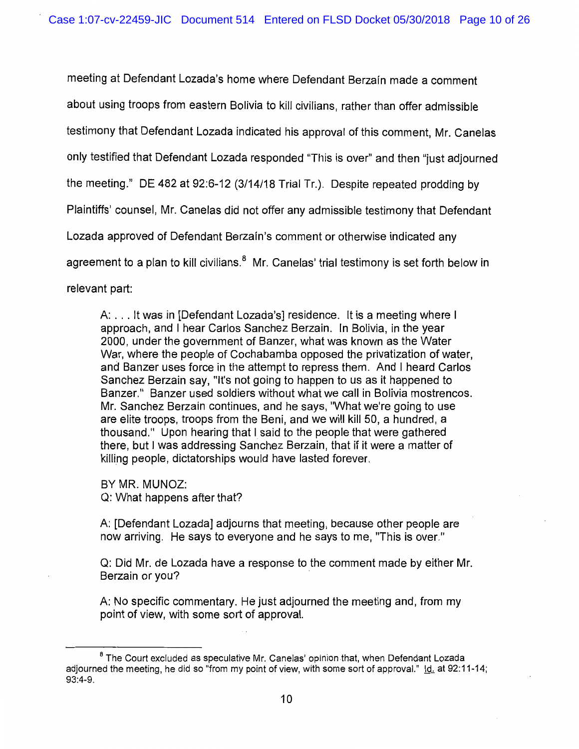meeting at Defendant Lozada's home where Defendant Berzafn made a comment about using troops from eastern Bolivia to kill civilians, rather than offer admissible testimony that Defendant Lozada indicated his approval of this comment, Mr. Canelas only testified that Defendant Lozada responded "This is over" and then "just adjourned the meeting." DE 482 at 92:6-12 (3/14/18 Trial Tr.). Despite repeated prodding by Plaintiffs' counsel, Mr. Canelas did not offer any admissible testimony that Defendant Lozada approved of Defendant Berzafn's comment or otherwise indicated any agreement to a plan to kill civilians. $<sup>8</sup>$  Mr. Canelas' trial testimony is set forth below in</sup> relevant part:

A: ... It was in [Defendant Lozada's] residence. It is a meeting where I approach, and I hear Carlos Sanchez Berzain. In Bolivia, in the year 2000, under the government of Banzer, what was known as the Water War, where the people of Cochabamba opposed the privatization of water, and Banzer uses force in the attempt to repress them. And I heard Carlos Sanchez Berzain say, "It's not going to happen to us as it happened to Banzer." Banzer used soldiers without what we call in Bolivia mostrencos. Mr. Sanchez Berzain continues, and he says, "What we're going to use are elite troops, troops from the Beni, and we will kill 50, a hundred, a thousand." Upon hearing that I said to the people that were gathered there, but I was addressing Sanchez Berzain, that if it were a matter of killing people, dictatorships would have lasted forever.

BY MR. MUNOZ: Q: What happens after that?

A: [Defendant Lozada] adjourns that meeting, because other people are now arriving. He says to everyone and he says to me, "This is over."

Q: Did Mr. de Lozada have a response to the comment made by either Mr. Berzain or you?

A: No specific commentary. He just adjourned the meeting and, from my point of view, with some sort of approval.

<sup>&</sup>lt;sup>8</sup> The Court excluded as speculative Mr. Canelas' opinion that, when Defendant Lozada adjourned the meeting, he did so "from my point of view, with some sort of approval." Id. at 92:11-14; 93:4-9.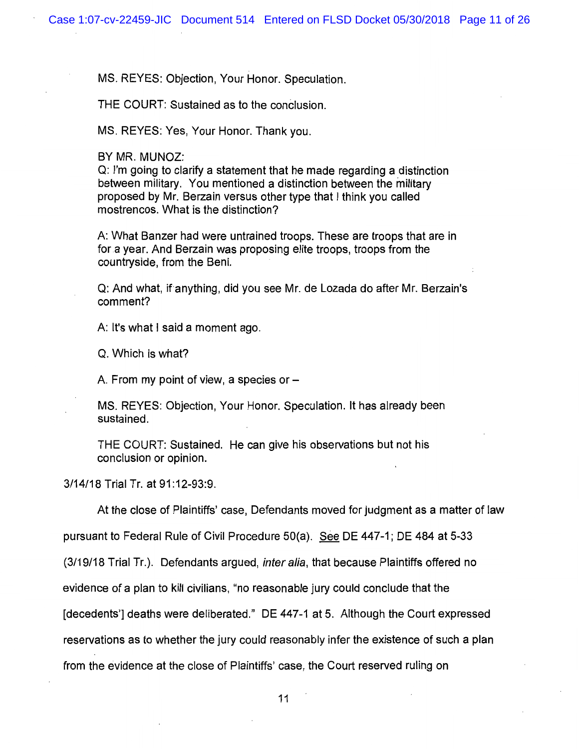MS. REYES: Objection, Your Honor. Speculation.

THE COURT: Sustained as to the conclusion.

MS. REYES: Yes, Your Honor. Thank you.

BY MR. MUNOZ:

Q: I'm going to clarify a statement that he made regarding a distinction between military. You mentioned a distinction between the military proposed by Mr. Berzain versus other type that I think you called mostrencos. What is the distinction?

A: What Banzer had were untrained troops. These are troops that are in for a year. And Berzain was proposing elite troops, troops from the countryside, from the Beni.

Q: And what, ifanything, did you see Mr. de Lozada do after Mr. Berzain's comment?

A: It's what I said a moment ago.

Q. Which is what?

A. From my point of view, a species or  $-$ 

MS. REYES: Objection, Your Honor. Speculation. It has already been sustained.

THE COURT: Sustained. He can give his observations but not his conclusion or opinion.

3/14/18 Trial Tr. at 91:12-93:9.

At the close of Plaintiffs' case, Defendants moved for judgment as a matter of law

pursuant to Federal Rule of Civil Procedure 50(a). See DE 447-1; DE 484 at 5-33

(3/19/18 Trial Tr.). Defendants argued, inter alia, that because Plaintiffs offered no

evidence of a plan to kill civilians, "no reasonable jury could conclude that the

[decedents'] deaths were deliberated." DE 447-1 at 5. Although the Court expressed

reservations as to whether the jury could reasonably infer the existence of such a plan

from the evidence at the close of Plaintiffs' case, the Court reserved ruling on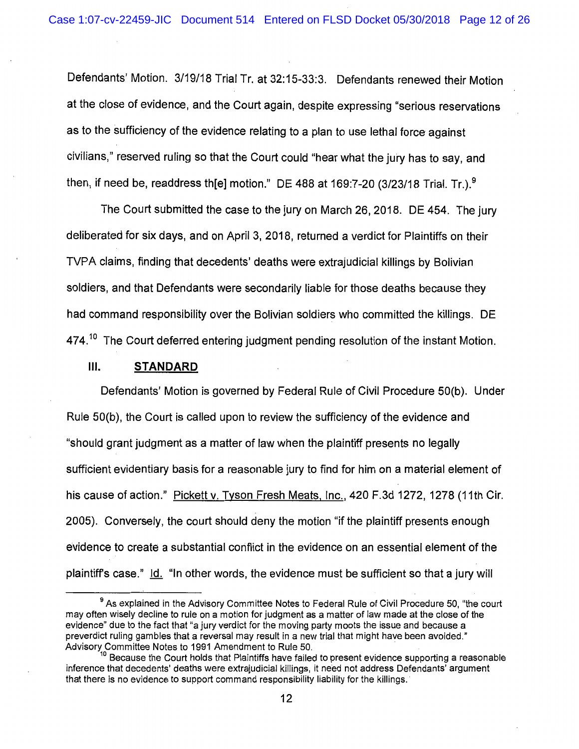Defendants' Motion. 3/19/18 Trial Tr. at 32:15-33:3. Defendants renewed their Motion at the close of evidence, and the Court again, despite expressing "serious reservations as to the sufficiency of the evidence relating to a plan to use lethal force against civilians," reserved ruling so that the Court could "hear what the jury has to say, and then, if need be, readdress th[e] motion." DE 488 at 169:7-20  $(3/23/18$  Trial. Tr.).<sup>9</sup>

The Court submitted the case to the jury on March 26, 2018. DE 454. The jury deliberated for six days, and on April 3, 2018, returned a verdict for Plaintiffs on their TVPA claims, finding that decedents' deaths were extrajudicial killings by Bolivian soldiers, and that Defendants were secondarily liable for those deaths because they had command responsibility over the Bolivian soldiers who committed the killings. DE  $474<sup>10</sup>$  The Court deferred entering judgment pending resolution of the instant Motion.

# Ill. **STANDARD**

Defendants' Motion is governed by Federal Rule of Civil Procedure 50(b). Under Rule 50(b), the Court is called upon to review the sufficiency of the evidence and "should grant judgment as a matter of law when the plaintiff presents no legally sufficient evidentiary basis for a reasonable jury to find for him on a material element of his cause of action." Pickett v. Tyson Fresh Meats. Inc., 420 F.3d 1272, 1278 (11th Cir. 2005). Conversely, the court should deny the motion "if the plaintiff presents enough evidence to create a substantial conflict in the evidence on an essential element of the plaintiff's case." Id. "In other words, the evidence must be sufficient so that a jury will

<sup>&</sup>lt;sup>9</sup> As explained in the Advisory Committee Notes to Federal Rule of Civil Procedure 50, "the court may often wisely decline to rule on a motion for judgment as a matter of law made at the close of the evidence" due to the fact that "a jury verdict for the moving party moots the issue and because a preverdict ruling gambles that a reversal may result in a new trial that might have been avoided."<br>Advisory Committee Notes to 1991 Amendment to Rule 50.

Because the Court holds that Plaintiffs have failed to present evidence supporting a reasonable inference that decedents' deaths were extrajudicial killings, it need not address Defendants' argument that there is no evidence to support command responsibility liability for the killings.·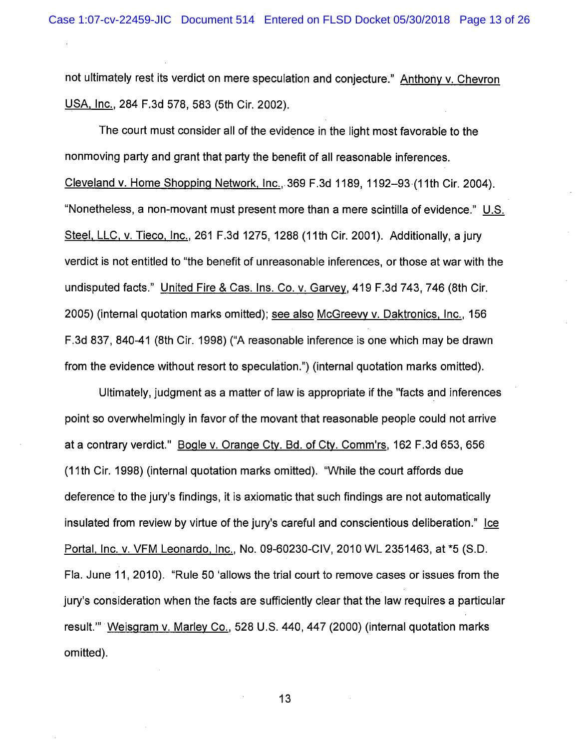not ultimately rest its verdict on mere speculation and conjecture." Anthony v. Chevron USA. Inc., 284 F.3d 578, 583 (5th Cir. 2002).

The court must consider all of the evidence in the light most favorable to the nonmoving party and grant that party the benefit of all reasonable inferences. Cleveland v. Home Shopping Network, Inc., 369 F.3d 1189, 1192-93·(11th Cir. 2004). "Nonetheless, a non-movant must present more than a mere scintilla of evidence." U.S. Steel. LLC, v. Tieco. Inc., 261 F.3d 1275, 1288 (11th Cir. 2001). Additionally, a jury verdict is not entitled to "the benefit of unreasonable inferences, or those at war with the undisputed facts." United Fire & Cas. Ins. Co. v. Garvey, 419 F.3d 743, 746 (8th Cir. 2005) (internal quotation marks omitted); see also McGreevy v. Daktronics, Inc., 156 F.3d 837, 840-41 (8th Cir. 1998) ("A reasonable inference is one which may be drawn from the evidence without resort to speculation.") (internal quotation marks omitted).

Ultimately, judgment as a matter of law is appropriate if the "facts and inferences point so overwhelmingly in favor of the movant that reasonable people could not arrive at a contrary verdict." Bogle v. Orange Cty. Bd. of Cty. Comm'rs, 162 F.3d 653, 656 (11th Cir. 1998) (internal quotation marks omitted). "While the court affords due deference to the jury's findings, it is axiomatic that such findings are not automatically insulated from review by virtue of the jury's careful and conscientious deliberation." Ice Portal. Inc. v. VFM Leonardo. Inc., No. 09-60230-CIV, 2010 WL 2351463, at \*5 (S.D. Fla. June 11, 2010). "Rule 50 'allows the trial court to remove cases or issues from the jury's consideration when the facts are sufficiently clear that the law requires a particular result."' Weisgram v. Marley Co., 528 U.S. 440, 447 (2000) (internal quotation marks omitted).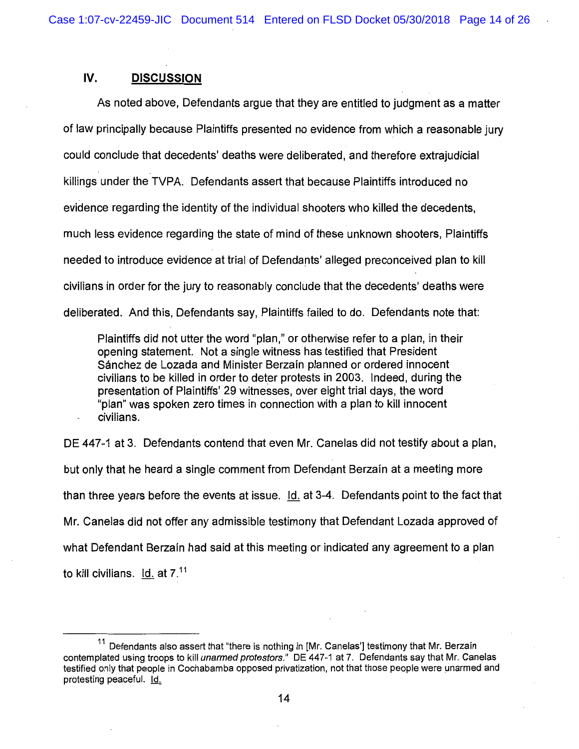# IV. **DISCUSSION**

As noted above, Defendants argue that they are entitled to judgment as a matter of law principally because Plaintiffs presented no evidence from which a reasonable jury could conclude that decedents' deaths were deliberated, and therefore extrajudicial killings under the TVPA. Defendants assert that because Plaintiffs introduced no evidence regarding the identity of the individual shooters who killed the decedents, much less evidence regarding the state of mind of these unknown shooters, Plaintiffs needed to introduce evidence at trial of Defendants' alleged preconceived plan to kill civilians in order for the jury to reasonably conclude that the decedents' deaths were deliberated. And this, Defendants say, Plaintiffs failed to do. Defendants note that:

Plaintiffs did not utter the word "plan," or otherwise refer to a plan, in their opening statement. Not a single witness has testified that President Sánchez de Lozada and Minister Berzaín planned or ordered innocent civilians to be killed in order to deter protests in 2003. Indeed, during the presentation of Plaintiffs' 29 witnesses, over eight trial days, the word "plan" was spoken zero times in connection with a plan to kill innocent civilians.

DE 447-1 at 3. Defendants contend that even Mr. Canelas did not testify about a plan, but only that he heard a single comment from Defendant Berzain at a meeting more than three years before the events at issue.  $Id.$  at 3-4. Defendants point to the fact that Mr. Canelas did not offer any admissible testimony that Defendant Lozada approved of what Defendant Berzain had said at this meeting or indicated any agreement to a plan to kill civilians.  $~\mathsf{Id.}~\mathsf{at}~7.^{\text{11}}$ 

 $11$  Defendants also assert that "there is nothing in [Mr. Canelas'] testimony that Mr. Berzain contemplated using troops to kill *unarmed protestors.*" DE 447-1 at 7. Defendants say that Mr. Canelas testified only that people in Cochabamba opposed privatization, not that those people were unarmed and protesting peaceful. 1Q,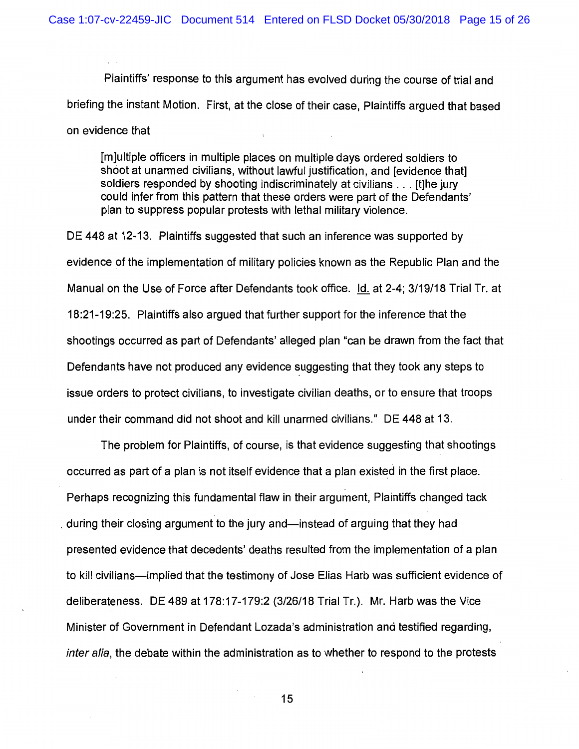Plaintiffs' response to this argument has evolved during the course of trial and briefing the instant Motion. First, at the close of their case, Plaintiffs argued that based on evidence that

[m]ultiple officers in multiple places on multiple days ordered soldiers to shoot at unarmed civilians, without lawful justification, and [evidence that] soldiers responded by shooting indiscriminately at civilians . . . [t]he jury could infer from this pattern that these orders were part of the Defendants' plan to suppress popular protests with lethal military violence.

DE 448 at 12-13. Plaintiffs suggested that such an inference was supported by evidence of the implementation of military policies known as the Republic Plan and the Manual on the Use of Force after Defendants took office.  $Id.$  at 2-4; 3/19/18 Trial Tr. at 18:21-19:25. Plaintiffs also argued that further support for the inference that the shootings occurred as part of Defendants' alleged plan "can be drawn from the fact that Defendants have not produced any evidence suggesting that they took any steps to issue orders to protect civilians, to investigate civilian deaths, or to ensure that troops under their command did not shoot and kill unarmed civilians." DE 448 at 13.

The problem for Plaintiffs, of course, is that evidence suggesting that shootings occurred as part of a plan is not itself evidence that a plan existed in the first place. Perhaps recognizing this fundamental flaw in their argument, Plaintiffs changed tack during their closing argument to the jury and—instead of arguing that they had presented evidence that decedents' deaths resulted from the implementation of a plan to kill civilians—implied that the testimony of Jose Elias Harb was sufficient evidence of deliberateness. DE 489 at 178:17-179:2 (3/26/18 Trial Tr.). Mr. Harb was the Vice Minister of Government in Defendant Lozada's administration and testified regarding, inter alia, the debate within the administration as to whether to respond to the protests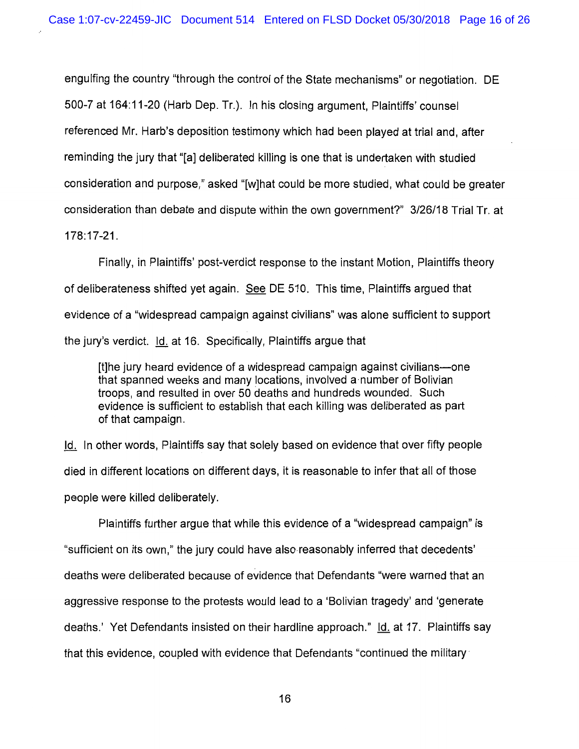engulfing the country "through the control of the State mechanisms" or negotiation. DE 500-7 at 164:11-20 (Harb Dep. Tr.). In his closing argument, Plaintiffs' counsel referenced Mr. Harb's deposition testimony which had been played at trial and, after reminding the jury that "[a] deliberated killing is one that is undertaken with studied consideration and purpose," asked "[w]hat could be more studied, what could be greater consideration than debate and dispute within the own government?" 3/26/18 Trial Tr. at 178:17-21.

Finally, in Plaintiffs' post-verdict response to the instant Motion, Plaintiffs theory of deliberateness shifted yet again. See DE 510. This time, Plaintiffs argued that evidence of a "widespread campaign against civilians" was alone sufficient to support the jury's verdict. Id. at 16. Specifically, Plaintiffs argue that

[t]he jury heard evidence of a widespread campaign against civilians-one that spanned weeks and many locations, involved a·number of Bolivian troops, and resulted in over 50 deaths and hundreds wounded. Such evidence is sufficient to establish that each killing was deliberated as part of that campaign.

Id. In other words, Plaintiffs say that solely based on evidence that over fifty people died in different locations on different days, it is reasonable to infer that all of those people were killed deliberately.

Plaintiffs further argue that while this evidence of a "widespread campaign" is "sufficient on its own," the jury could have also-reasonably inferred that decedents' deaths were deliberated because of evidence that Defendants "were warned that an aggressive response to the protests would lead to a 'Bolivian tragedy' and 'generate deaths.' Yet Defendants insisted on their hardline approach." Id. at 17. Plaintiffs say that this evidence, coupled with evidence that Defendants "continued the military·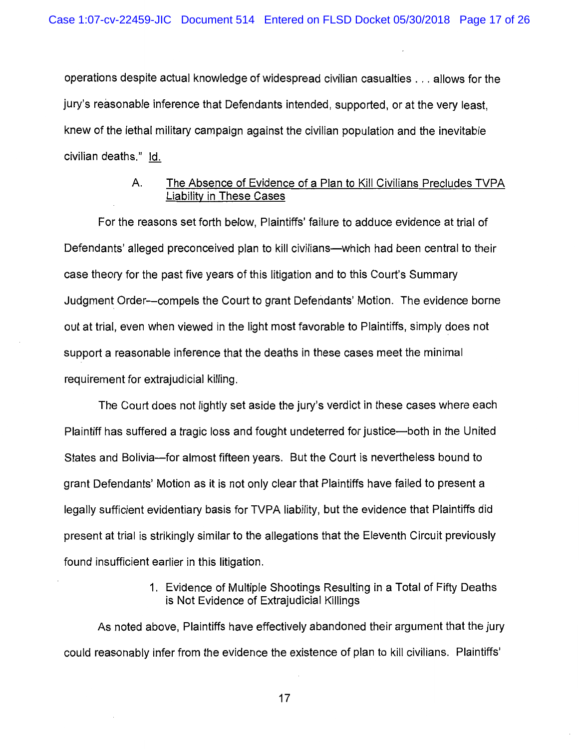operations despite actual knowledge of widespread civilian casualties ... allows for the jury's reasonable inference that Defendants intended, supported, or at the very least, knew of the lethal military campaign against the civilian population and the inevitable civilian deaths." Id.

# A. The Absence of Evidence of a Plan to Kill Civilians Precludes TVPA Liability in These Cases

For the reasons set forth below, Plaintiffs' failure to adduce evidence at trial of Defendants' alleged preconceived plan to kill civilians—which had been central to their case theory for the past five years of this litigation and to this Court's Summary Judgment Order-compels the Court to grant Defendants' Motion. The evidence borne out at trial, even when viewed in the light most favorable to Plaintiffs, simply does not support a reasonable inference that the deaths in these cases meet the minimal requirement for extrajudicial killing.

The Court does not lightly set aside the jury's verdict in these cases where each Plaintiff has suffered a tragic loss and fought undeterred for justice—both in the United States and Bolivia-for almost fifteen years. But the Court is nevertheless bound to grant Defendants' Motion as it is not only clear that Plaintiffs have failed to present a legally sufficient evidentiary basis for TVPA liability, but the evidence that Plaintiffs did present at trial is strikingly similar to the allegations that the Eleventh Circuit previously found insufficient earlier in this litigation.

> 1. Evidence of Multiple Shootings Resulting in a Total of Fifty Deaths is Not Evidence of Extrajudicial Killings

As noted above, Plaintiffs have effectively abandoned their argument that the jury could reasonably infer from the evidence the existence of plan to kill civilians. Plaintiffs'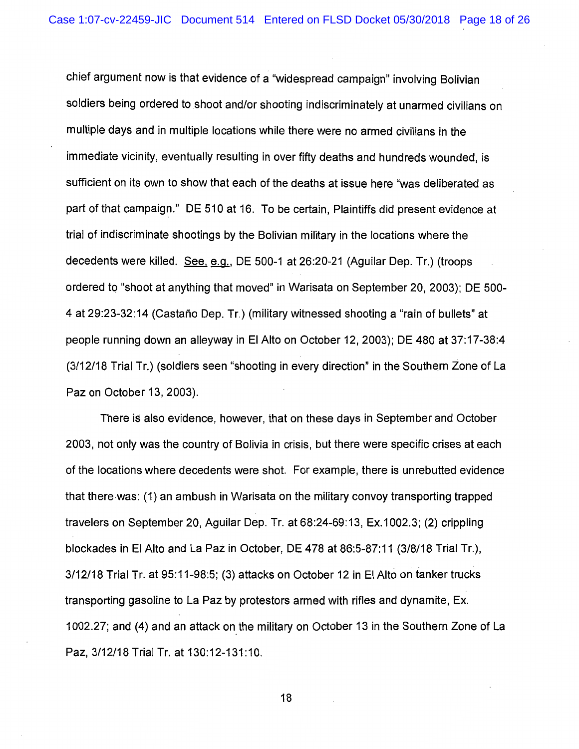chief argument now is that evidence of a "widespread campaign" involving Bolivian soldiers being ordered to shoot and/or shooting indiscriminately at unarmed civilians on multiple days and in multiple locations while there were no armed civilians in the immediate vicinity, eventually resulting in over fifty deaths and hundreds wounded, is sufficient on its own to show that each of the deaths at issue here "was deliberated as part of that campaign." DE 510 at 16. To be certain, Plaintiffs did present evidence at trial of indiscriminate shootings by the Bolivian military in the locations where the decedents were killed. See, e.g., DE 500-1 at 26:20-21 (Aguilar Dep. Tr.) (troops ordered to "shoot at anything that moved" in Warisata on September 20, 2003); DE 500- 4 at 29:23-32:14 (Castano Dep. Tr.) (military witnessed shooting a "rain of bullets" at people running down an alleyway in El Alto on October 12, 2003); DE 480 at 37:17-38:4 (3/12/18 Trial Tr.) (soldiers seen "shooting in every direction" in the Southern Zone of La Paz on October 13, 2003).

There is also evidence, however, that on these days in September and October 2003, not only was the country of Bolivia in crisis, but there were specific crises at each of the locations where decedents were shot. For example, there is unrebutted evidence that there was: (1) an ambush in Warisata on the military convoy transporting trapped travelers on September 20, Aguilar Dep. Tr. at 68:24-69:13, Ex.1 002.3; (2) crippling blockades in El Alto and La Paz in October, DE 478 at 86:5-87:11 (3/8/18 Trial Tr.), 3/12/18 Trial Tr. at 95:11-98:5; (3) attacks on October 12 in El Alto on tanker trucks transporting gasoline to La Paz by protestors armed with rifles and dynamite, Ex. 1 002.27; and (4) and an attack on the military on October 13 in the Southern Zone of La Paz, 3/12/18 Trial Tr. at 130:12-131:10.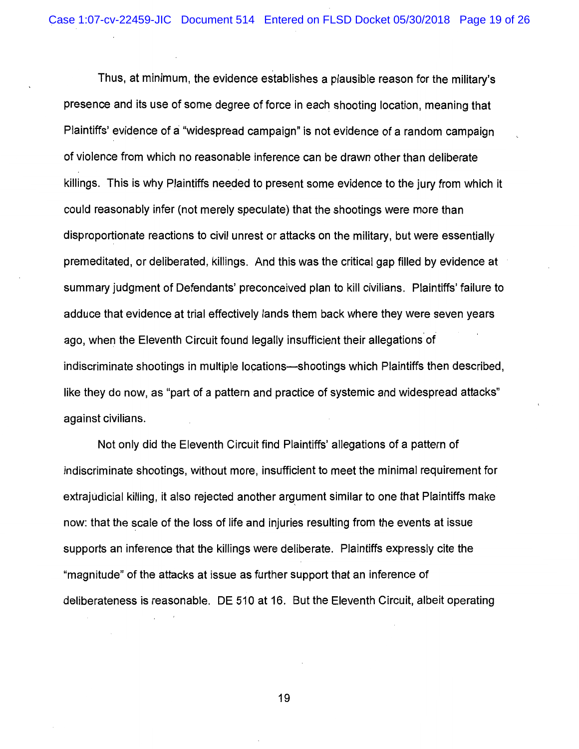Thus, at minimum, the evidence establishes a plausible reason for the military's presence and its use of some degree of force in each shooting location, meaning that Plaintiffs' evidence of a "widespread campaign" is not evidence of a random campaign of violence from which no reasonable inference can be drawn other than deliberate killings. This is why Plaintiffs needed to present some evidence to the jury from which it could reasonably infer (not merely speculate) that the shootings were more than disproportionate reactions to civil unrest or attacks on the military, but were essentially premeditated, or deliberated, killings. And this was the critical gap filled by evidence at summary judgment of Defendants' preconceived plan to kill civilians. Plaintiffs' failure to adduce that evidence at trial effectively lands them back where they were seven years ago, when the Eleventh Circuit found legally insufficient their allegations of indiscriminate shootings in multiple locations—shootings which Plaintiffs then described, like they do now, as "part of a pattern and practice of systemic and widespread attacks" against civilians.

Not only did the Eleventh Circuit find Plaintiffs' allegations of a pattern of indiscriminate shootings, without more, insufficient to meet the minimal requirement for extrajudicial killing, it also rejected another argument similar to one that Plaintiffs make now: that the scale of the loss of life and injuries resulting from the events at issue supports an inference that the killings were deliberate. Plaintiffs expressly cite the "magnitude" of the attacks at issue as further support that an inference of deliberateness is reasonable. DE 510 at 16. But the Eleventh Circuit, albeit operating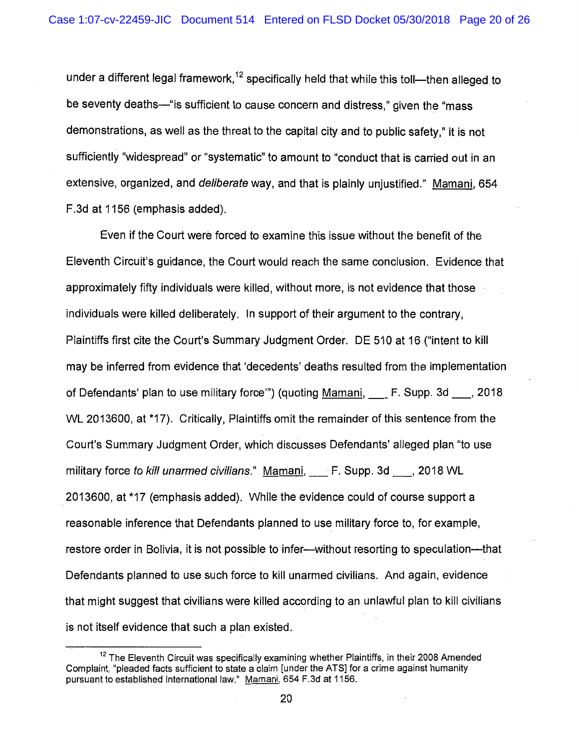under a different legal framework,<sup>12</sup> specifically held that while this toll-then alleged to be seventy deaths—"is sufficient to cause concern and distress," given the "mass" demonstrations, as well as the threat to the capital city and to public safety," it is not sufficiently "widespread" or "systematic" to amount to "conduct that is carried out in an extensive, organized, and deliberate way, and that is plainly unjustified." Mamani, 654 F.3d at 1156 (emphasis added).

Even if the Court were forced to examine this issue without the benefit of the Eleventh Circuit's guidance, the Court would reach the same conclusion. Evidence that approximately fifty individuals were killed, without more, is not evidence that those individuals were killed deliberately. In support of their argument to the contrary, Plaintiffs first cite the Court's Summary Judgment Order. DE 510 at 16 ("intent to kill may be inferred from evidence that 'decedents' deaths resulted from the implementation of Defendants' plan to use military force'") (quoting Mamani, \_F. Supp. 3d\_, 2018 WL 2013600, at \*17). Critically, Plaintiffs omit the remainder of this sentence from the Court's Summary Judgment Order, which discusses Defendants' alleged plan "to use military force to kill unarmed civilians." Mamani, F. Supp. 3d \_\_\_, 2018 WL 2013600, at \*17 (emphasis added). While the evidence could of course support a reasonable inference that Defendants planned to use military force to, for example, restore order in Bolivia, it is not possible to infer--without resorting to speculation---that Defendants planned to use such force to kill unarmed civilians. And again, evidence that might suggest that civilians were killed according to an unlawful plan to kill civilians is not itself evidence that such a plan existed.

 $12$  The Eleventh Circuit was specifically examining whether Plaintiffs, in their 2008 Amended Complaint, "pleaded facts sufficient to state a claim [under the ATS] for a crime against humanity pursuant to established international law." Mamani, 654 F.3d at 1156.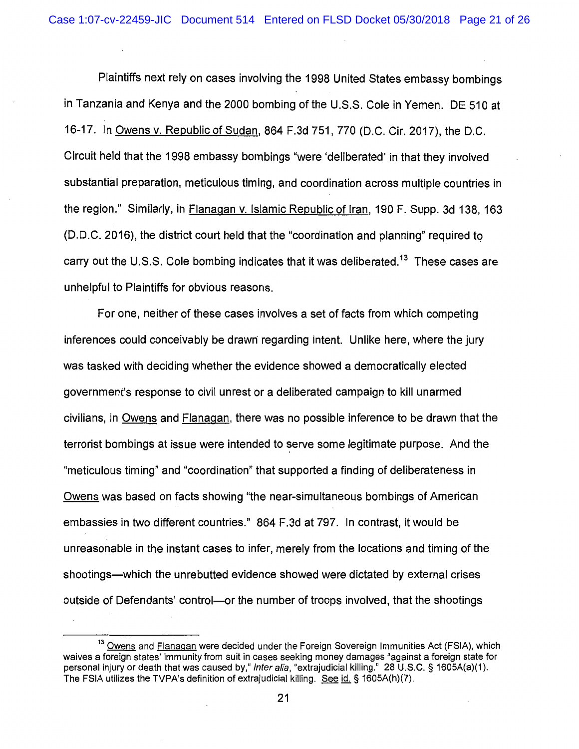Plaintiffs next rely on cases involving the 1998 United States embassy bombings in Tanzania and Kenya and the 2000 bombing of the U.S.S. Cole in Yemen. DE 510 at 16-17. In Owens v. Republic of Sudan, 864 F.3d 751, 770 (D.C. Cir. 2017), the D.C. Circuit held that the 1998 embassy bombings "were 'deliberated' in that they involved substantial preparation, meticulous timing, and coordination across multiple countries in the region." Similarly, in Flanagan v. Islamic Republic of Iran, 190 F. Supp. 3d 138, 163 (D. D.C. 2016), the district court held that the "coordination and planning" required to carry out the U.S.S. Cole bombing indicates that it was deliberated.<sup>13</sup> These cases are unhelpful to Plaintiffs for obvious reasons.

For one, neither of these cases involves a set of facts from which competing inferences could conceivably be drawn regarding intent. Unlike here, where the jury was tasked with deciding whether the evidence showed a democratically elected government's response to civil unrest or a deliberated campaign to kill unarmed civilians, in Owens and Flanagan, there was no possible inference to be drawn that the terrorist bombings at issue were intended to serve some legitimate purpose. And the "meticulous timing" and "coordination" that supported a finding of deliberateness in Owens was based on facts showing "the near-simultaneous bombings of American embassies in two different countries." 864 F.3d at 797. In contrast, it would be unreasonable in the instant cases to infer, merely from the locations and timing of the shootings-which the unrebutted evidence showed were dictated by external crises outside of Defendants' control—or the number of troops involved, that the shootings

<sup>&</sup>lt;sup>13</sup> Owens and Flanagan were decided under the Foreign Sovereign Immunities Act (FSIA), which waives a foreign states' immunity from suit in cases seeking money damages "against a foreign state for personal injury or death that was caused by," inter alia, "extrajudicial killing." 28 U.S.C. § 1605A(a)(1). The FSIA utilizes the TVPA's definition of extrajudicial killing. See id. § 1605A(h)(7).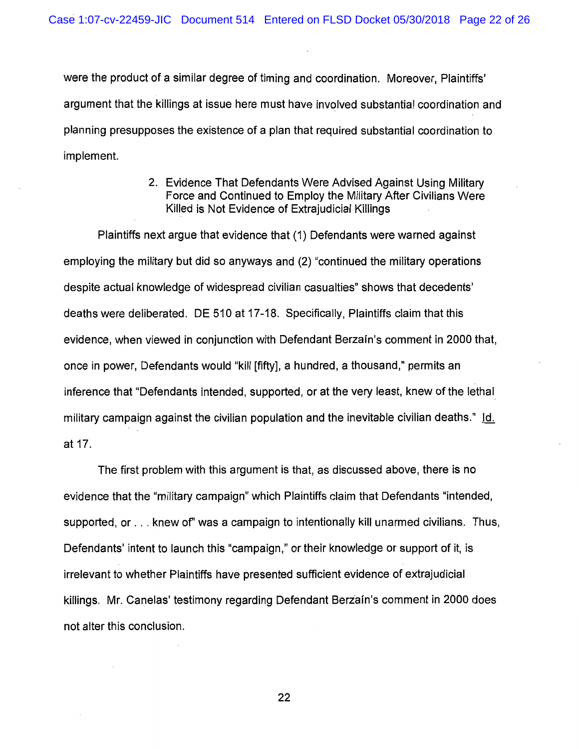were the product of a similar degree of timing and coordination. Moreover, Plaintiffs' argument that the killings at issue here must have involved substantial coordination and planning presupposes the existence of a plan that required substantial coordination to implement.

> 2. Evidence That Defendants Were Advised Against Using Military Force and Continued to Employ the Military After Civilians Were Killed is Not Evidence of Extrajudicial Killings

Plaintiffs next argue that evidence that (1) Defendants were warned against employing the military but did so anyways and (2) "continued the military operations despite actual knowledge of widespread civilian casualties" shows that decedents' deaths were deliberated. DE 510 at 17-18. Specifically, Plaintiffs claim that this evidence, when viewed in conjunction with Defendant Berzafn's comment in 2000 that, once in power, Defendants would "kill [fifty], a hundred, a thousand," permits an inference that "Defendants intended, supported, or at the very least, knew of the lethal military campaign against the civilian population and the inevitable civilian deaths." Id. at 17.

The first problem with this argument is that, as discussed above, there is no evidence that the "military campaign" which Plaintiffs claim that Defendants "intended, supported, or . . . knew of" was a campaign to intentionally kill unarmed civilians. Thus, Defendants' intent to launch this "campaign," or their knowledge or support of it, is irrelevant to whether Plaintiffs have presented sufficient evidence of extrajudicial killings. Mr. Canelas' testimony regarding Defendant Berzaín's comment in 2000 does not alter this conclusion.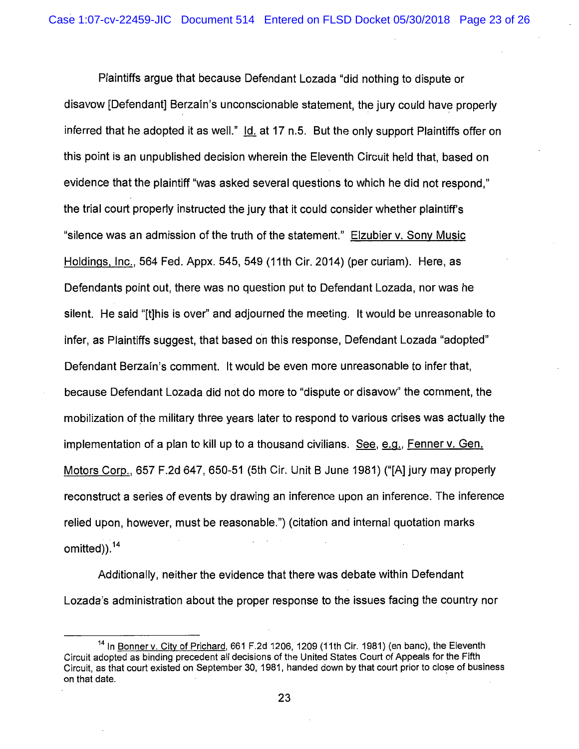Plaintiffs argue that because Defendant Lozada "did nothing to dispute or disavow [Defendant] Berzain's unconscionable statement, the jury could have properly inferred that he adopted it as well." Id. at 17 n.5. But the only support Plaintiffs offer on this point is an unpublished decision wherein the Eleventh Circuit held that, based on evidence that the plaintiff "was asked several questions to which he did not respond," the trial court properly instructed the jury that it could consider whether plaintiff's "silence was an admission of the truth of the statement." Elzubier v. Sony Music Holdings, Inc., 564 Fed. Appx. 545, 549 (11th Cir. 2014) (per curiam). Here, as Defendants point out, there was no question put to Defendant Lozada, nor was he silent. He said "[t]his is over" and adjourned the meeting. It would be unreasonable to infer, as Plaintiffs suggest, that based on this response, Defendant Lozada "adopted" Defendant Berzain's comment. It would be even more unreasonable to infer that, because Defendant Lozada did not do more to "dispute or disavow" the comment, the mobilization of the military three years later to respond to various crises was actually the implementation of a plan to kill up to a thousand civilians. See, e.g., Fenner v. Gen. Motors Corp., 657 F.2d 647, 650-51 (5th Cir. Unit B June 1981) ("[A] jury may properly reconstruct a series of events by drawing an inference upon an inference. The inference relied upon, however, must be reasonable.") (citation and internal quotation marks omitted)). <sup>14</sup>

Additionally, neither the evidence that there was debate within Defendant Lozada's administration about the proper response to the issues facing the country nor

<sup>&</sup>lt;sup>14</sup> In Bonner v. City of Prichard, 661 F.2d 1206, 1209 (11th Cir. 1981) (en banc), the Eleventh Circuit adopted as binding precedent all decisions of the United States Court of Appeals for the Fifth Circuit, as that court existed on September 30, 1981, handed down by that court prior to close of business on that date. '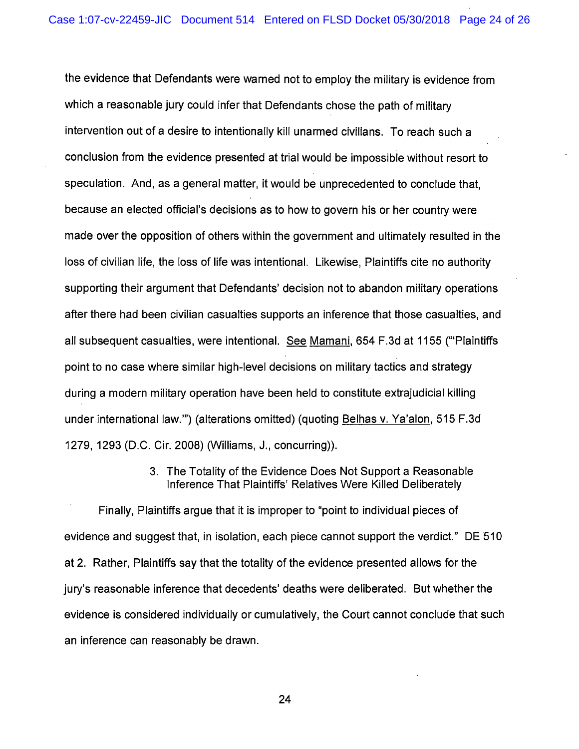the evidence that Defendants were warned not to employ the military is evidence from which a reasonable jury could infer that Defendants chose the path of military intervention out of a desire to intentionally kill unarmed civilians. To reach such a conclusion from the evidence presented at trial would be impossible without resort to speculation. And, as a general matter, it would be unprecedented to conclude that, because an elected official's decisions as to how to govern his or her country were made over the opposition of others within the government and ultimately resulted in the loss of civilian life, the loss of life was intentional. Likewise, Plaintiffs cite no authority supporting their argument that Defendants' decision not to abandon military operations after there had been civilian casualties supports an inference that those casualties, and all subsequent casualties, were intentional. See Mamani, 654 F.3d at 1155 ('"Plaintiffs point to no case where similar high-level decisions on military tactics and strategy during a modern military operation have been held to constitute extrajudicial killing under international law."') (alterations omitted) (quoting Belhas v. Ya'alon, 515 F.3d 1279, 1293 (D.C. Cir. 2008) (Williams, J., concurring)).

### 3. The Totality of the Evidence Does Not Support a Reasonable Inference That Plaintiffs' Relatives Were Killed Deliberately

Finally, Plaintiffs argue that it is improper to "point to individual pieces of evidence and suggest that, in isolation, each piece cannot support the verdict." DE 510 at 2. Rather, Plaintiffs say that the totality of the evidence presented allows for the jury's reasonable inference that decedents' deaths were deliberated. But whether the evidence is considered individually or cumulatively, the Court cannot conclude that such an inference can reasonably be drawn.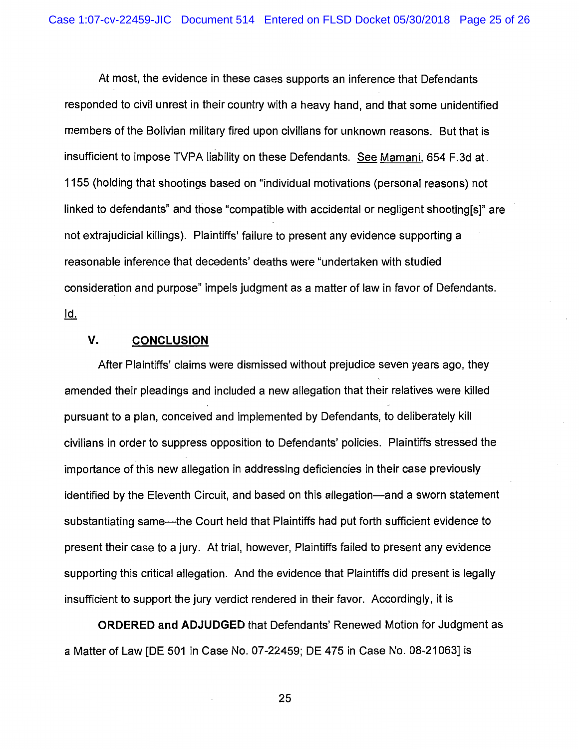At most, the evidence in these cases supports an inference that Defendants responded to civil unrest in their country with a heavy hand, and that some unidentified members of the Bolivian military fired upon civilians for unknown reasons. But that is insufficient to impose TVPA liability on these Defendants. See Mamani, 654 F.3d at. 1155 (holding that shootings based on "individual motivations (personal reasons) not linked to defendants" and those "compatible with accidental or negligent shooting[s]" are not extrajudicial killings). Plaintiffs' failure to present any evidence supporting a reasonable inference that decedents' deaths were "undertaken with studied consideration and purpose" impels judgment as a matter of law in favor of Defendants. <u>ld.</u>

# **V. CONCLUSION**

After Plaintiffs' claims were dismissed without prejudice seven years ago, they amended their pleadings and included a new allegation that their relatives were killed pursuant to a plan, conceived and implemented by Defendants, to deliberately kill civilians in order to suppress opposition to Defendants' policies. Plaintiffs stressed the importance of this new allegation in addressing deficiencies in their case previously identified by the Eleventh Circuit, and based on this allegation—and a sworn statement substantiating same—the Court held that Plaintiffs had put forth sufficient evidence to present their case to a jury. At trial, however, Plaintiffs failed to present any evidence supporting this critical allegation. And the evidence that Plaintiffs did present is legally insufficient to support the jury verdict rendered in their favor. Accordingly, it is

**ORDERED and ADJUDGED** that Defendants' Renewed Motion for Judgment as a Matter of Law [DE 501 in Case No. 07-22459; DE 475 in Case No. 08-21063] is